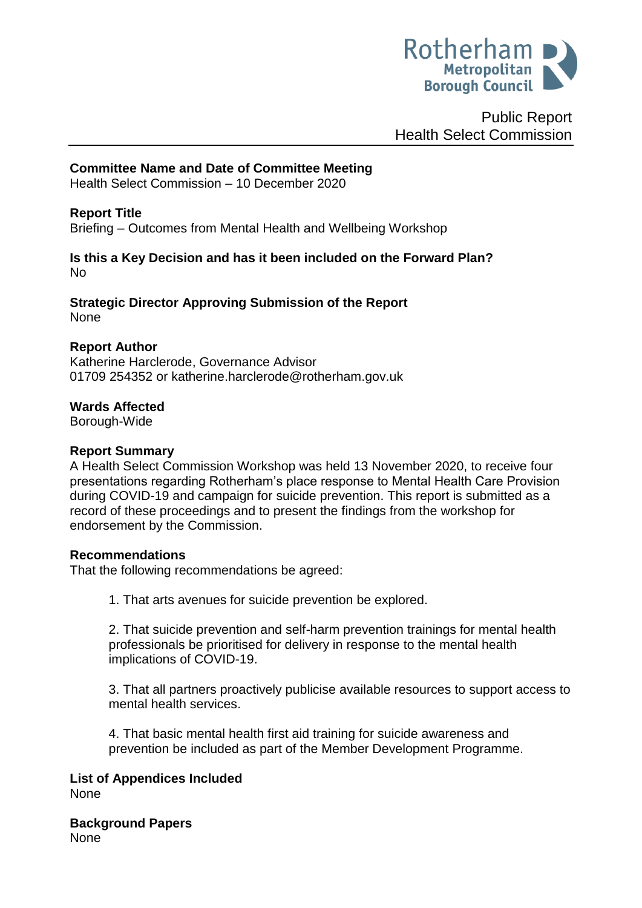

Public Report Health Select Commission

## **Committee Name and Date of Committee Meeting**

Health Select Commission – 10 December 2020

## **Report Title**

Briefing – Outcomes from Mental Health and Wellbeing Workshop

#### **Is this a Key Decision and has it been included on the Forward Plan?**  No

**Strategic Director Approving Submission of the Report** None

#### **Report Author**

Katherine Harclerode, Governance Advisor 01709 254352 or katherine.harclerode@rotherham.gov.uk

#### **Wards Affected**

Borough-Wide

#### **Report Summary**

A Health Select Commission Workshop was held 13 November 2020, to receive four presentations regarding Rotherham's place response to Mental Health Care Provision during COVID-19 and campaign for suicide prevention. This report is submitted as a record of these proceedings and to present the findings from the workshop for endorsement by the Commission.

#### **Recommendations**

That the following recommendations be agreed:

1. That arts avenues for suicide prevention be explored.

2. That suicide prevention and self-harm prevention trainings for mental health professionals be prioritised for delivery in response to the mental health implications of COVID-19.

3. That all partners proactively publicise available resources to support access to mental health services.

4. That basic mental health first aid training for suicide awareness and prevention be included as part of the Member Development Programme.

**List of Appendices Included** None

**Background Papers** None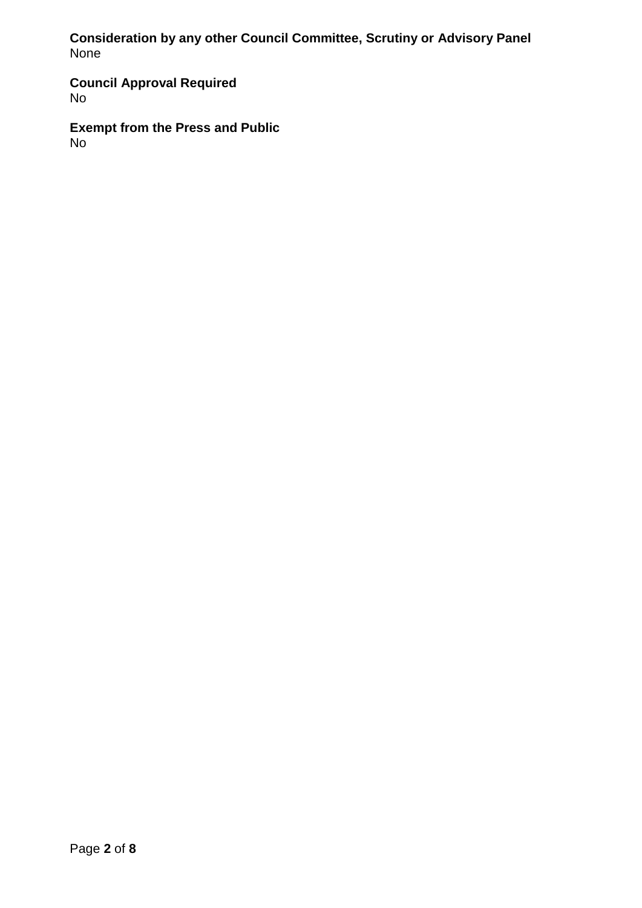**Consideration by any other Council Committee, Scrutiny or Advisory Panel** None

**Council Approval Required** No

**Exempt from the Press and Public** No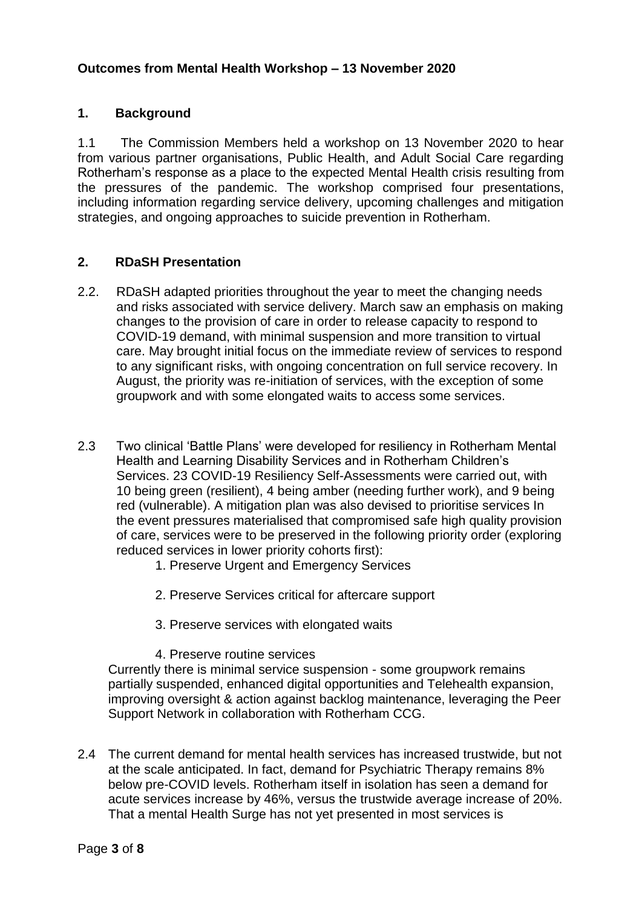# **1. Background**

1.1 The Commission Members held a workshop on 13 November 2020 to hear from various partner organisations, Public Health, and Adult Social Care regarding Rotherham's response as a place to the expected Mental Health crisis resulting from the pressures of the pandemic. The workshop comprised four presentations, including information regarding service delivery, upcoming challenges and mitigation strategies, and ongoing approaches to suicide prevention in Rotherham.

## **2. RDaSH Presentation**

- 2.2. RDaSH adapted priorities throughout the year to meet the changing needs and risks associated with service delivery. March saw an emphasis on making changes to the provision of care in order to release capacity to respond to COVID-19 demand, with minimal suspension and more transition to virtual care. May brought initial focus on the immediate review of services to respond to any significant risks, with ongoing concentration on full service recovery. In August, the priority was re-initiation of services, with the exception of some groupwork and with some elongated waits to access some services.
- 2.3 Two clinical 'Battle Plans' were developed for resiliency in Rotherham Mental Health and Learning Disability Services and in Rotherham Children's Services. 23 COVID-19 Resiliency Self-Assessments were carried out, with 10 being green (resilient), 4 being amber (needing further work), and 9 being red (vulnerable). A mitigation plan was also devised to prioritise services In the event pressures materialised that compromised safe high quality provision of care, services were to be preserved in the following priority order (exploring reduced services in lower priority cohorts first):
	- 1. Preserve Urgent and Emergency Services
	- 2. Preserve Services critical for aftercare support
	- 3. Preserve services with elongated waits
	- 4. Preserve routine services

Currently there is minimal service suspension - some groupwork remains partially suspended, enhanced digital opportunities and Telehealth expansion, improving oversight & action against backlog maintenance, leveraging the Peer Support Network in collaboration with Rotherham CCG.

2.4 The current demand for mental health services has increased trustwide, but not at the scale anticipated. In fact, demand for Psychiatric Therapy remains 8% below pre-COVID levels. Rotherham itself in isolation has seen a demand for acute services increase by 46%, versus the trustwide average increase of 20%. That a mental Health Surge has not yet presented in most services is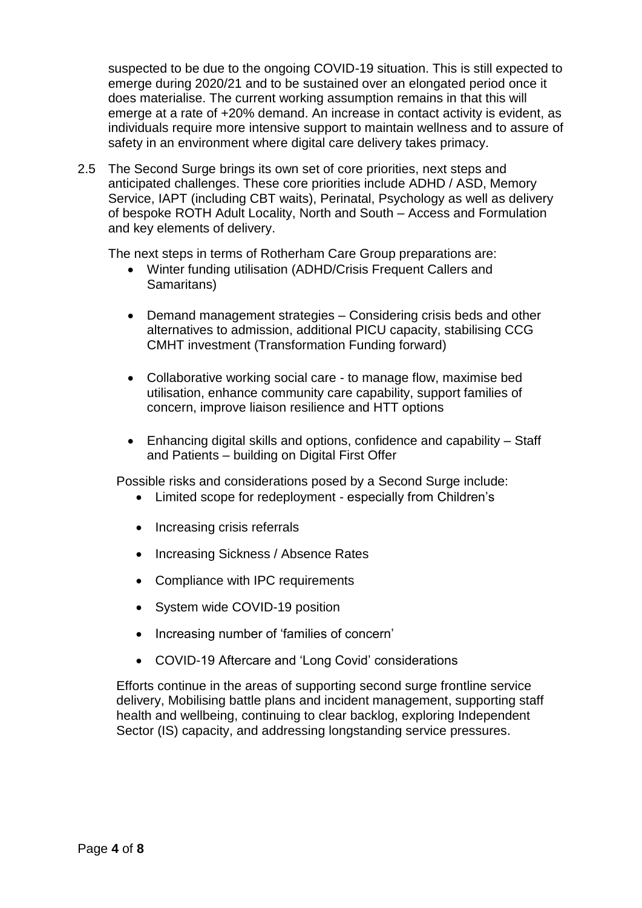suspected to be due to the ongoing COVID-19 situation. This is still expected to emerge during 2020/21 and to be sustained over an elongated period once it does materialise. The current working assumption remains in that this will emerge at a rate of +20% demand. An increase in contact activity is evident, as individuals require more intensive support to maintain wellness and to assure of safety in an environment where digital care delivery takes primacy.

2.5 The Second Surge brings its own set of core priorities, next steps and anticipated challenges. These core priorities include ADHD / ASD, Memory Service, IAPT (including CBT waits), Perinatal, Psychology as well as delivery of bespoke ROTH Adult Locality, North and South – Access and Formulation and key elements of delivery.

The next steps in terms of Rotherham Care Group preparations are:

- Winter funding utilisation (ADHD/Crisis Frequent Callers and Samaritans)
- Demand management strategies Considering crisis beds and other alternatives to admission, additional PICU capacity, stabilising CCG CMHT investment (Transformation Funding forward)
- Collaborative working social care to manage flow, maximise bed utilisation, enhance community care capability, support families of concern, improve liaison resilience and HTT options
- Enhancing digital skills and options, confidence and capability Staff and Patients – building on Digital First Offer

Possible risks and considerations posed by a Second Surge include:

- Limited scope for redeployment especially from Children's
- Increasing crisis referrals
- Increasing Sickness / Absence Rates
- Compliance with IPC requirements
- System wide COVID-19 position
- Increasing number of 'families of concern'
- COVID-19 Aftercare and 'Long Covid' considerations

Efforts continue in the areas of supporting second surge frontline service delivery, Mobilising battle plans and incident management, supporting staff health and wellbeing, continuing to clear backlog, exploring Independent Sector (IS) capacity, and addressing longstanding service pressures.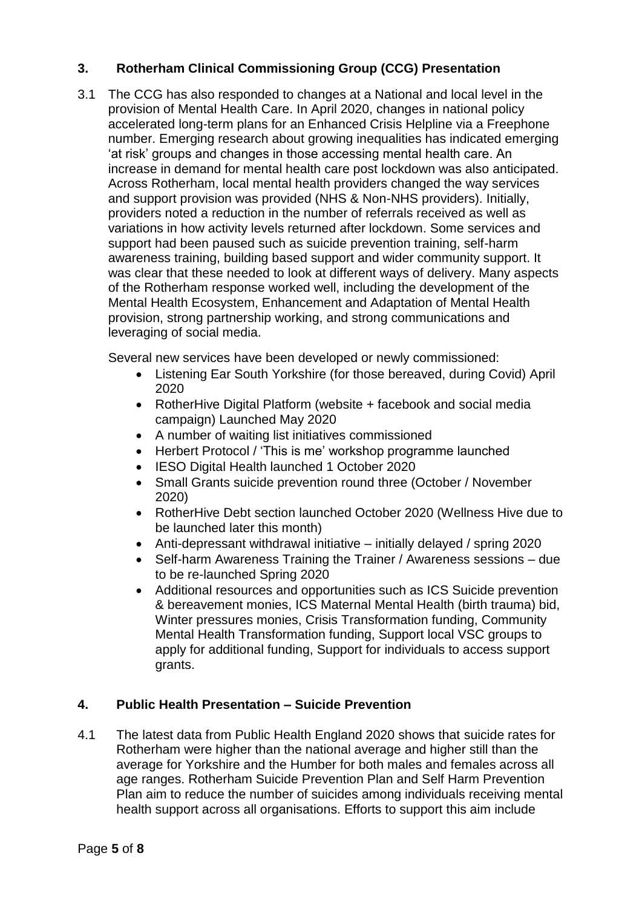# **3. Rotherham Clinical Commissioning Group (CCG) Presentation**

3.1 The CCG has also responded to changes at a National and local level in the provision of Mental Health Care. In April 2020, changes in national policy accelerated long-term plans for an Enhanced Crisis Helpline via a Freephone number. Emerging research about growing inequalities has indicated emerging 'at risk' groups and changes in those accessing mental health care. An increase in demand for mental health care post lockdown was also anticipated. Across Rotherham, local mental health providers changed the way services and support provision was provided (NHS & Non-NHS providers). Initially, providers noted a reduction in the number of referrals received as well as variations in how activity levels returned after lockdown. Some services and support had been paused such as suicide prevention training, self-harm awareness training, building based support and wider community support. It was clear that these needed to look at different ways of delivery. Many aspects of the Rotherham response worked well, including the development of the Mental Health Ecosystem, Enhancement and Adaptation of Mental Health provision, strong partnership working, and strong communications and leveraging of social media.

Several new services have been developed or newly commissioned:

- Listening Ear South Yorkshire (for those bereaved, during Covid) April 2020
- RotherHive Digital Platform (website + facebook and social media campaign) Launched May 2020
- A number of waiting list initiatives commissioned
- Herbert Protocol / 'This is me' workshop programme launched
- IESO Digital Health launched 1 October 2020
- Small Grants suicide prevention round three (October / November 2020)
- RotherHive Debt section launched October 2020 (Wellness Hive due to be launched later this month)
- Anti-depressant withdrawal initiative initially delayed / spring 2020
- Self-harm Awareness Training the Trainer / Awareness sessions due to be re-launched Spring 2020
- Additional resources and opportunities such as ICS Suicide prevention & bereavement monies, ICS Maternal Mental Health (birth trauma) bid, Winter pressures monies, Crisis Transformation funding, Community Mental Health Transformation funding, Support local VSC groups to apply for additional funding, Support for individuals to access support grants.

# **4. Public Health Presentation – Suicide Prevention**

4.1 The latest data from Public Health England 2020 shows that suicide rates for Rotherham were higher than the national average and higher still than the average for Yorkshire and the Humber for both males and females across all age ranges. Rotherham Suicide Prevention Plan and Self Harm Prevention Plan aim to reduce the number of suicides among individuals receiving mental health support across all organisations. Efforts to support this aim include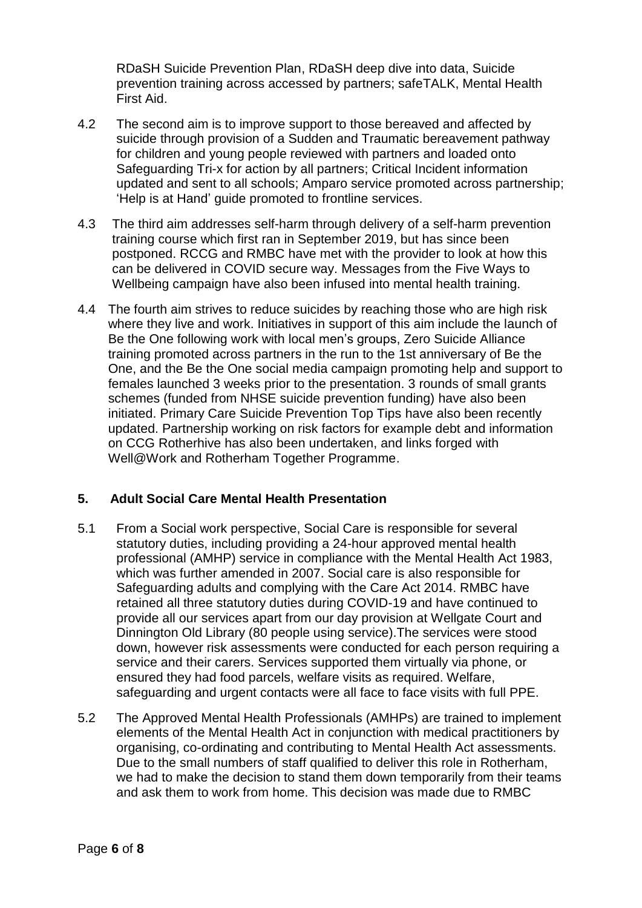RDaSH Suicide Prevention Plan, RDaSH deep dive into data, Suicide prevention training across accessed by partners; safeTALK, Mental Health First Aid.

- 4.2 The second aim is to improve support to those bereaved and affected by suicide through provision of a Sudden and Traumatic bereavement pathway for children and young people reviewed with partners and loaded onto Safeguarding Tri-x for action by all partners; Critical Incident information updated and sent to all schools; Amparo service promoted across partnership; 'Help is at Hand' guide promoted to frontline services.
- 4.3 The third aim addresses self-harm through delivery of a self-harm prevention training course which first ran in September 2019, but has since been postponed. RCCG and RMBC have met with the provider to look at how this can be delivered in COVID secure way. Messages from the Five Ways to Wellbeing campaign have also been infused into mental health training.
- 4.4 The fourth aim strives to reduce suicides by reaching those who are high risk where they live and work. Initiatives in support of this aim include the launch of Be the One following work with local men's groups, Zero Suicide Alliance training promoted across partners in the run to the 1st anniversary of Be the One, and the Be the One social media campaign promoting help and support to females launched 3 weeks prior to the presentation. 3 rounds of small grants schemes (funded from NHSE suicide prevention funding) have also been initiated. Primary Care Suicide Prevention Top Tips have also been recently updated. Partnership working on risk factors for example debt and information on CCG Rotherhive has also been undertaken, and links forged with Well@Work and Rotherham Together Programme.

## **5. Adult Social Care Mental Health Presentation**

- 5.1 From a Social work perspective, Social Care is responsible for several statutory duties, including providing a 24-hour approved mental health professional (AMHP) service in compliance with the Mental Health Act 1983, which was further amended in 2007. Social care is also responsible for Safeguarding adults and complying with the Care Act 2014. RMBC have retained all three statutory duties during COVID-19 and have continued to provide all our services apart from our day provision at Wellgate Court and Dinnington Old Library (80 people using service).The services were stood down, however risk assessments were conducted for each person requiring a service and their carers. Services supported them virtually via phone, or ensured they had food parcels, welfare visits as required. Welfare, safeguarding and urgent contacts were all face to face visits with full PPE.
- 5.2 The Approved Mental Health Professionals (AMHPs) are trained to implement elements of the Mental Health Act in conjunction with medical practitioners by organising, co-ordinating and contributing to Mental Health Act assessments. Due to the small numbers of staff qualified to deliver this role in Rotherham, we had to make the decision to stand them down temporarily from their teams and ask them to work from home. This decision was made due to RMBC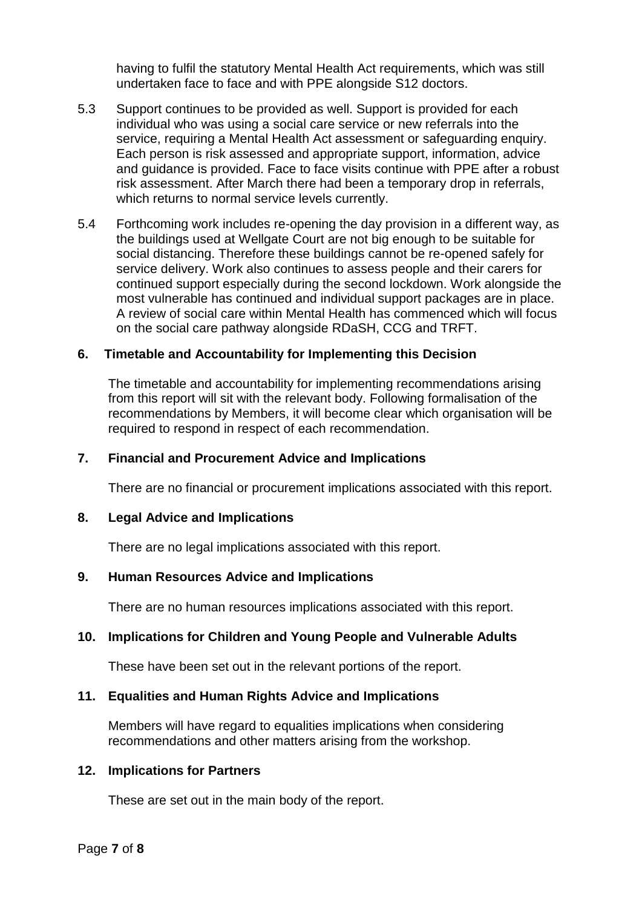having to fulfil the statutory Mental Health Act requirements, which was still undertaken face to face and with PPE alongside S12 doctors.

- 5.3 Support continues to be provided as well. Support is provided for each individual who was using a social care service or new referrals into the service, requiring a Mental Health Act assessment or safeguarding enquiry. Each person is risk assessed and appropriate support, information, advice and guidance is provided. Face to face visits continue with PPE after a robust risk assessment. After March there had been a temporary drop in referrals, which returns to normal service levels currently.
- 5.4 Forthcoming work includes re-opening the day provision in a different way, as the buildings used at Wellgate Court are not big enough to be suitable for social distancing. Therefore these buildings cannot be re-opened safely for service delivery. Work also continues to assess people and their carers for continued support especially during the second lockdown. Work alongside the most vulnerable has continued and individual support packages are in place. A review of social care within Mental Health has commenced which will focus on the social care pathway alongside RDaSH, CCG and TRFT.

## **6. Timetable and Accountability for Implementing this Decision**

The timetable and accountability for implementing recommendations arising from this report will sit with the relevant body. Following formalisation of the recommendations by Members, it will become clear which organisation will be required to respond in respect of each recommendation.

#### **7. Financial and Procurement Advice and Implications**

There are no financial or procurement implications associated with this report.

#### **8. Legal Advice and Implications**

There are no legal implications associated with this report.

## **9. Human Resources Advice and Implications**

There are no human resources implications associated with this report.

## **10. Implications for Children and Young People and Vulnerable Adults**

These have been set out in the relevant portions of the report.

#### **11. Equalities and Human Rights Advice and Implications**

Members will have regard to equalities implications when considering recommendations and other matters arising from the workshop.

#### **12. Implications for Partners**

These are set out in the main body of the report.